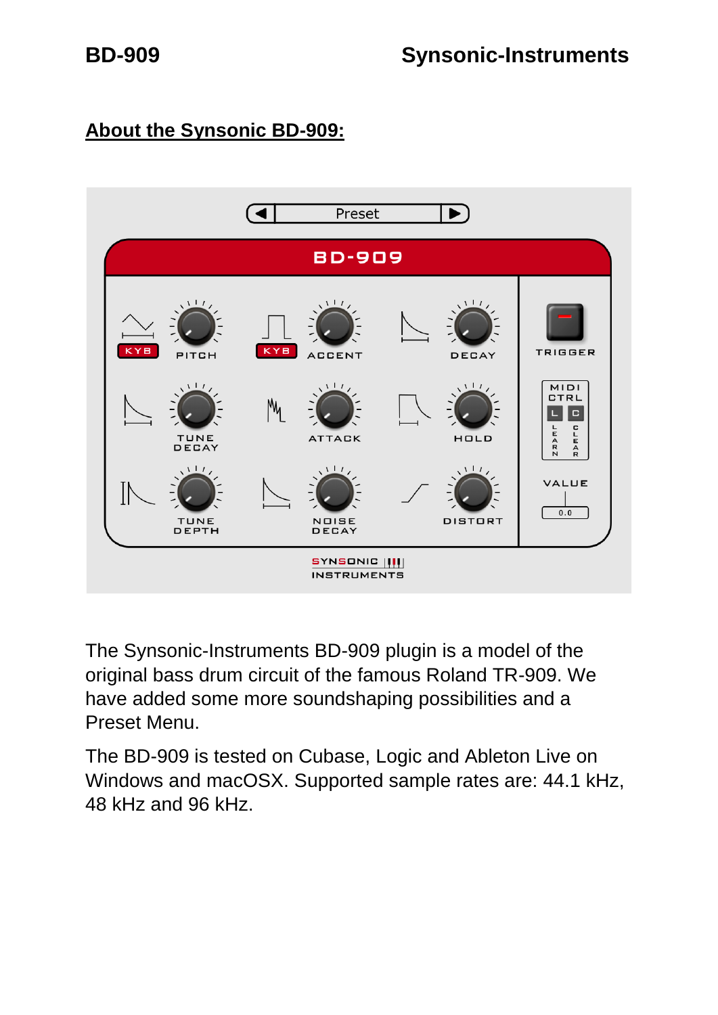# **About the Synsonic BD-909:**



The Synsonic-Instruments BD-909 plugin is a model of the original bass drum circuit of the famous Roland TR-909. We have added some more soundshaping possibilities and a Preset Menu.

The BD-909 is tested on Cubase, Logic and Ableton Live on Windows and macOSX. Supported sample rates are: 44.1 kHz, 48 kHz and 96 kHz.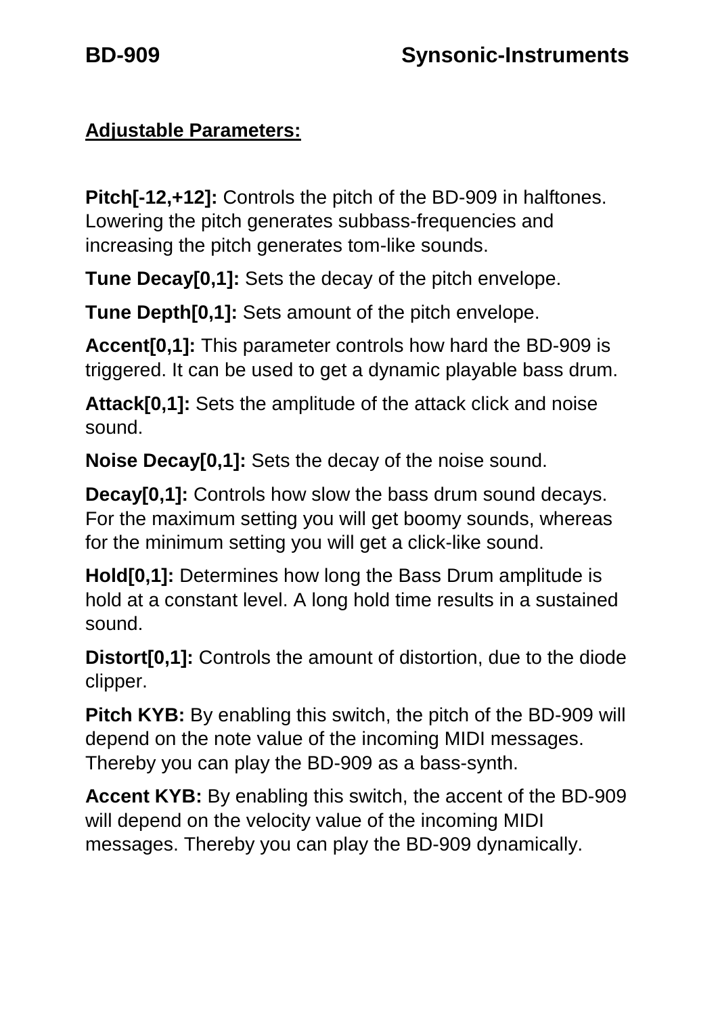# **Adjustable Parameters:**

**Pitch[-12,+12]:** Controls the pitch of the BD-909 in halftones. Lowering the pitch generates subbass-frequencies and increasing the pitch generates tom-like sounds.

**Tune Decay[0,1]:** Sets the decay of the pitch envelope.

**Tune Depth[0,1]:** Sets amount of the pitch envelope.

**Accent[0,1]:** This parameter controls how hard the BD-909 is triggered. It can be used to get a dynamic playable bass drum.

**Attack[0,1]:** Sets the amplitude of the attack click and noise sound.

**Noise Decay[0,1]:** Sets the decay of the noise sound.

**Decay[0,1]:** Controls how slow the bass drum sound decays. For the maximum setting you will get boomy sounds, whereas for the minimum setting you will get a click-like sound.

**Hold[0,1]:** Determines how long the Bass Drum amplitude is hold at a constant level. A long hold time results in a sustained sound.

**Distort[0,1]:** Controls the amount of distortion, due to the diode clipper.

**Pitch KYB:** By enabling this switch, the pitch of the BD-909 will depend on the note value of the incoming MIDI messages. Thereby you can play the BD-909 as a bass-synth.

**Accent KYB:** By enabling this switch, the accent of the BD-909 will depend on the velocity value of the incoming MIDI messages. Thereby you can play the BD-909 dynamically.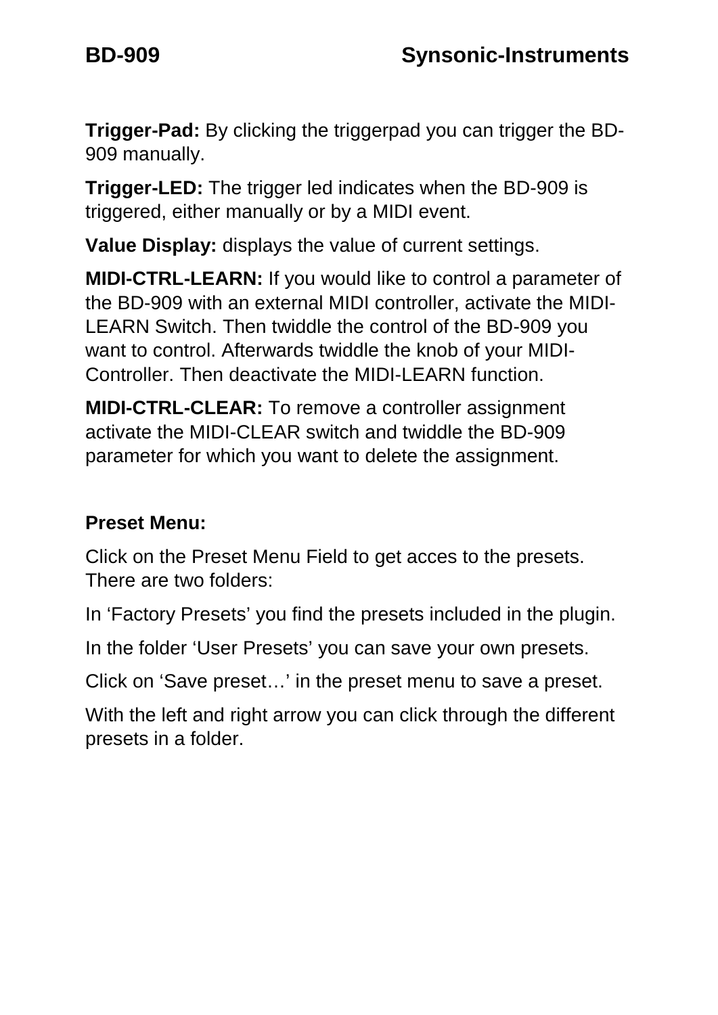**Trigger-Pad:** By clicking the triggerpad you can trigger the BD-909 manually.

**Trigger-LED:** The trigger led indicates when the BD-909 is triggered, either manually or by a MIDI event.

**Value Display:** displays the value of current settings.

**MIDI-CTRL-LEARN:** If you would like to control a parameter of the BD-909 with an external MIDI controller, activate the MIDI-LEARN Switch. Then twiddle the control of the BD-909 you want to control. Afterwards twiddle the knob of your MIDI-Controller. Then deactivate the MIDI-LEARN function.

**MIDI-CTRL-CLEAR:** To remove a controller assignment activate the MIDI-CLEAR switch and twiddle the BD-909 parameter for which you want to delete the assignment.

# **Preset Menu:**

Click on the Preset Menu Field to get acces to the presets. There are two folders:

In 'Factory Presets' you find the presets included in the plugin.

In the folder 'User Presets' you can save your own presets.

Click on 'Save preset…' in the preset menu to save a preset.

With the left and right arrow you can click through the different presets in a folder.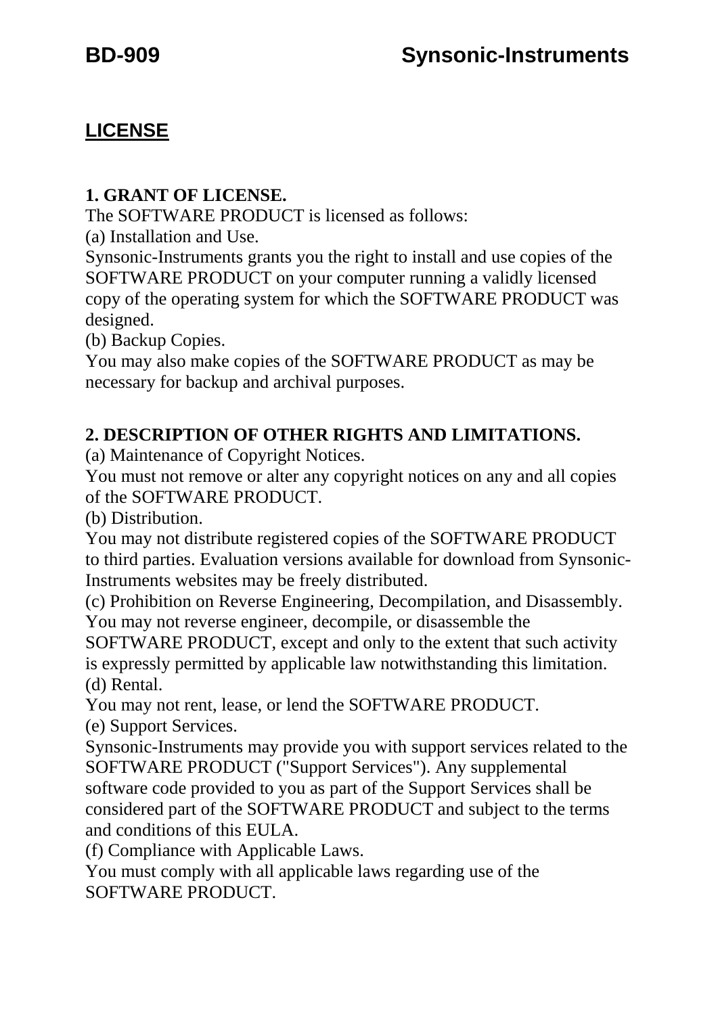## **LICENSE**

#### **1. GRANT OF LICENSE.**

The SOFTWARE PRODUCT is licensed as follows:

(a) Installation and Use.

Synsonic-Instruments grants you the right to install and use copies of the SOFTWARE PRODUCT on your computer running a validly licensed copy of the operating system for which the SOFTWARE PRODUCT was designed.

(b) Backup Copies.

You may also make copies of the SOFTWARE PRODUCT as may be necessary for backup and archival purposes.

### **2. DESCRIPTION OF OTHER RIGHTS AND LIMITATIONS.**

(a) Maintenance of Copyright Notices.

You must not remove or alter any copyright notices on any and all copies of the SOFTWARE PRODUCT.

(b) Distribution.

You may not distribute registered copies of the SOFTWARE PRODUCT to third parties. Evaluation versions available for download from Synsonic-Instruments websites may be freely distributed.

(c) Prohibition on Reverse Engineering, Decompilation, and Disassembly. You may not reverse engineer, decompile, or disassemble the

SOFTWARE PRODUCT, except and only to the extent that such activity is expressly permitted by applicable law notwithstanding this limitation. (d) Rental.

You may not rent, lease, or lend the SOFTWARE PRODUCT.

(e) Support Services.

Synsonic-Instruments may provide you with support services related to the SOFTWARE PRODUCT ("Support Services"). Any supplemental software code provided to you as part of the Support Services shall be considered part of the SOFTWARE PRODUCT and subject to the terms and conditions of this EULA.

(f) Compliance with Applicable Laws.

You must comply with all applicable laws regarding use of the SOFTWARE PRODUCT.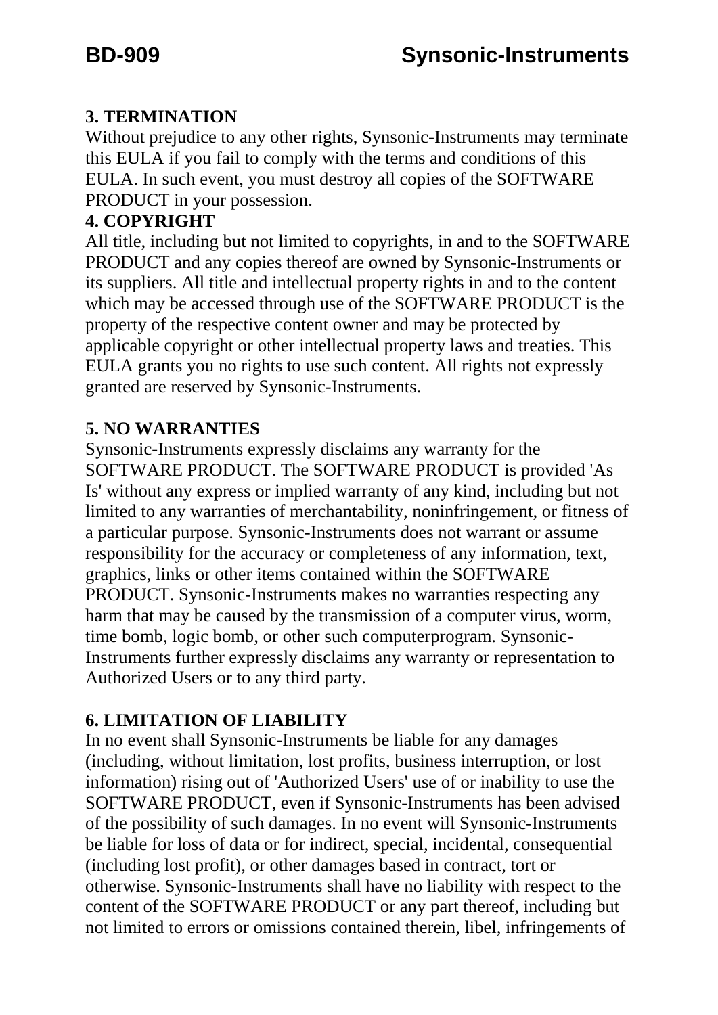### **3. TERMINATION**

Without prejudice to any other rights, Synsonic-Instruments may terminate this EULA if you fail to comply with the terms and conditions of this EULA. In such event, you must destroy all copies of the SOFTWARE PRODUCT in your possession.

#### **4. COPYRIGHT**

All title, including but not limited to copyrights, in and to the SOFTWARE PRODUCT and any copies thereof are owned by Synsonic-Instruments or its suppliers. All title and intellectual property rights in and to the content which may be accessed through use of the SOFTWARE PRODUCT is the property of the respective content owner and may be protected by applicable copyright or other intellectual property laws and treaties. This EULA grants you no rights to use such content. All rights not expressly granted are reserved by Synsonic-Instruments.

#### **5. NO WARRANTIES**

Synsonic-Instruments expressly disclaims any warranty for the SOFTWARE PRODUCT. The SOFTWARE PRODUCT is provided 'As Is' without any express or implied warranty of any kind, including but not limited to any warranties of merchantability, noninfringement, or fitness of a particular purpose. Synsonic-Instruments does not warrant or assume responsibility for the accuracy or completeness of any information, text, graphics, links or other items contained within the SOFTWARE PRODUCT. Synsonic-Instruments makes no warranties respecting any harm that may be caused by the transmission of a computer virus, worm, time bomb, logic bomb, or other such computerprogram. Synsonic-Instruments further expressly disclaims any warranty or representation to Authorized Users or to any third party.

### **6. LIMITATION OF LIABILITY**

In no event shall Synsonic-Instruments be liable for any damages (including, without limitation, lost profits, business interruption, or lost information) rising out of 'Authorized Users' use of or inability to use the SOFTWARE PRODUCT, even if Synsonic-Instruments has been advised of the possibility of such damages. In no event will Synsonic-Instruments be liable for loss of data or for indirect, special, incidental, consequential (including lost profit), or other damages based in contract, tort or otherwise. Synsonic-Instruments shall have no liability with respect to the content of the SOFTWARE PRODUCT or any part thereof, including but not limited to errors or omissions contained therein, libel, infringements of